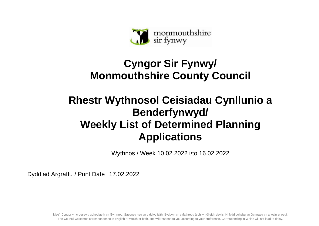

## **Cyngor Sir Fynwy/ Monmouthshire County Council**

## **Rhestr Wythnosol Ceisiadau Cynllunio a Benderfynwyd/ Weekly List of Determined Planning Applications**

Wythnos / Week 10.02.2022 i/to 16.02.2022

Dyddiad Argraffu / Print Date 17.02.2022

Mae'r Cyngor yn croesawu gohebiaeth yn Gymraeg, Saesneg neu yn y ddwy iaith. Byddwn yn cyfathrebu â chi yn ôl eich dewis. Ni fydd gohebu yn Gymraeg yn arwain at oedi. The Council welcomes correspondence in English or Welsh or both, and will respond to you according to your preference. Corresponding in Welsh will not lead to delay.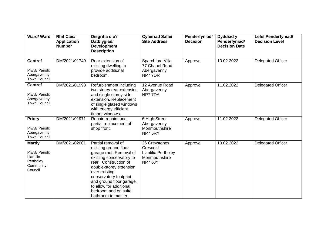| <b>Ward/Ward</b>                                                                 | <b>Rhif Cais/</b><br><b>Application</b><br><b>Number</b> | Disgrifia d o'r<br>Datblygiad/<br><b>Development</b><br><b>Description</b>                                                                                                                                                                                                                              | <b>Cyfeiriad Safle/</b><br><b>Site Address</b>                                      | Penderfyniad/<br><b>Decision</b> | Dyddiad y<br>Penderfyniad/<br><b>Decision Date</b> | <b>Lefel Penderfyniad/</b><br><b>Decision Level</b> |
|----------------------------------------------------------------------------------|----------------------------------------------------------|---------------------------------------------------------------------------------------------------------------------------------------------------------------------------------------------------------------------------------------------------------------------------------------------------------|-------------------------------------------------------------------------------------|----------------------------------|----------------------------------------------------|-----------------------------------------------------|
| <b>Cantref</b><br>Plwyf/ Parish:<br>Abergavenny<br><b>Town Council</b>           | DM/2021/01749                                            | Rear extension of<br>existing dwelling to<br>provide additional<br>bedroom.                                                                                                                                                                                                                             | Sparchford Villa<br>77 Chapel Road<br>Abergavenny<br>NP77DR                         | Approve                          | 10.02.2022                                         | <b>Delegated Officer</b>                            |
| <b>Cantref</b><br>Plwyf/ Parish:<br>Abergavenny<br><b>Town Council</b>           | DM/2021/01998                                            | Refurbishment including<br>two storey rear extension<br>and single storey side<br>extension. Replacement<br>of single glazed windows<br>with energy efficient<br>timber windows.                                                                                                                        | 12 Avenue Road<br>Abergavenny<br>NP77DA                                             | Approve                          | 11.02.2022                                         | <b>Delegated Officer</b>                            |
| <b>Priory</b><br>Plwyf/ Parish:<br>Abergavenny<br><b>Town Council</b>            | DM/2021/01971                                            | Repair, repaint and<br>partial replacement of<br>shop front.                                                                                                                                                                                                                                            | 6 High Street<br>Abergavenny<br>Monmouthshire<br>NP7 5RY                            | Approve                          | 11.02.2022                                         | <b>Delegated Officer</b>                            |
| <b>Mardy</b><br>Plwyf/ Parish:<br>Llantilio<br>Pertholey<br>Community<br>Council | DM/2021/02001                                            | Partial removal of<br>existing ground floor<br>garage roof. Removal of<br>existing conservatory to<br>rear. Construction of<br>double-storey extension<br>over existing<br>conservatory footprint<br>and ground floor garage,<br>to allow for additional<br>bedroom and en suite<br>bathroom to master. | 26 Greystones<br>Crescent<br><b>Llantilio Pertholey</b><br>Monmouthshire<br>NP7 6JY | Approve                          | 10.02.2022                                         | <b>Delegated Officer</b>                            |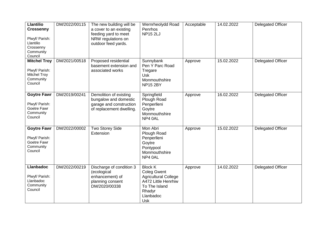| <b>Llantilio</b><br><b>Crossenny</b><br>Plwyf/ Parish:<br>Llantilio<br>Crossenny<br>Community<br>Council | DM/2022/00115 | The new building will be<br>a cover to an existing<br>feeding yard to meet<br>NRW regulations on<br>outdoor feed yards. | Wernrheolydd Road<br>Penrhos<br><b>NP15 2LJ</b>                                                                                                  | Acceptable | 14.02.2022 | <b>Delegated Officer</b> |
|----------------------------------------------------------------------------------------------------------|---------------|-------------------------------------------------------------------------------------------------------------------------|--------------------------------------------------------------------------------------------------------------------------------------------------|------------|------------|--------------------------|
| <b>Mitchel Troy</b><br>Plwyf/ Parish:<br><b>Mitchel Troy</b><br>Community<br>Council                     | DM/2021/00518 | Proposed residential<br>basement extension and<br>associated works                                                      | Sunnybank<br>Pen Y Parc Road<br>Tregare<br>Usk<br>Monmouthshire<br><b>NP15 2BY</b>                                                               | Approve    | 15.02.2022 | <b>Delegated Officer</b> |
| <b>Goytre Fawr</b><br>Plwyf/ Parish:<br>Goetre Fawr<br>Community<br>Council                              | DM/2019/00241 | Demolition of existing<br>bungalow and domestic<br>garage and construction<br>of replacement dwelling.                  | Springfield<br>Plough Road<br>Penperlleni<br>Goytre<br>Monmouthshire<br>NP4 0AL                                                                  | Approve    | 16.02.2022 | <b>Delegated Officer</b> |
| <b>Goytre Fawr</b><br>Plwyf/ Parish:<br>Goetre Fawr<br>Community<br>Council                              | DM/2022/00002 | Two Storey Side<br>Extension                                                                                            | Mon Abri<br>Plough Road<br>Penperlleni<br>Goytre<br>Pontypool<br>Monmouthshire<br>NP4 0AL                                                        | Approve    | 15.02.2022 | <b>Delegated Officer</b> |
| <b>Llanbadoc</b><br>Plwyf/ Parish:<br>Llanbadoc<br>Community<br>Council                                  | DM/2022/00219 | Discharge of condition 3<br>(ecological<br>enhancement) of<br>planning consent<br>DM/2020/00338                         | <b>Block K</b><br><b>Coleg Gwent</b><br><b>Agricultural College</b><br>A472 Little Henrhiw<br>To The Island<br>Rhadyr<br>Llanbadoc<br><b>Usk</b> | Approve    | 14.02.2022 | <b>Delegated Officer</b> |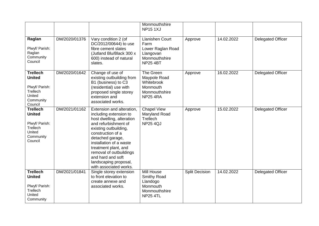|                                                                                                  |               |                                                                                                                                                                                                                                                                                                                                  | Monmouthshire<br><b>NP151XJ</b>                                                                      |                       |            |                          |
|--------------------------------------------------------------------------------------------------|---------------|----------------------------------------------------------------------------------------------------------------------------------------------------------------------------------------------------------------------------------------------------------------------------------------------------------------------------------|------------------------------------------------------------------------------------------------------|-----------------------|------------|--------------------------|
| Raglan<br>Plwyf/ Parish:<br>Raglan<br>Community<br>Council                                       | DM/2020/01376 | Vary condition 2 (of<br>DC/2012/00644) to use<br>fibre cement slates<br>(Jutland Blu/Black 300 x<br>600) instead of natural<br>slates.                                                                                                                                                                                           | <b>Llanishen Court</b><br>Farm<br>Lower Raglan Road<br>Llangovan<br>Monmouthshire<br><b>NP25 4BT</b> | Approve               | 14.02.2022 | <b>Delegated Officer</b> |
| <b>Trellech</b><br><b>United</b><br>Plwyf/ Parish:<br>Trellech<br>United<br>Community<br>Council | DM/2020/01642 | Change of use of<br>existing outbuilding from<br>B1 (business) to C3<br>(residential) use with<br>proposed single storey<br>extension and<br>associated works.                                                                                                                                                                   | The Green<br>Maypole Road<br>Whitebrook<br>Monmouth<br>Monmouthshire<br><b>NP25 4RA</b>              | Approve               | 16.02.2022 | <b>Delegated Officer</b> |
| <b>Trellech</b><br><b>United</b><br>Plwyf/ Parish:<br>Trellech<br>United<br>Community<br>Council | DM/2021/01162 | Extension and alteration,<br>including extension to<br>host dwelling, alteration<br>and refurbishment of<br>existing outbuilding,<br>construction of a<br>detached garage,<br>installation of a waste<br>treatment plant, and<br>removal of outbuildings<br>and hard and soft<br>landscaping proposal,<br>with associated works. | <b>Chapel View</b><br>Maryland Road<br>Trellech<br><b>NP25 4QJ</b>                                   | Approve               | 15.02.2022 | <b>Delegated Officer</b> |
| <b>Trellech</b><br><b>United</b><br>Plwyf/ Parish:<br>Trellech<br>United<br>Community            | DM/2021/01841 | Single storey extension<br>to front elevation to<br>create annexe and<br>associated works.                                                                                                                                                                                                                                       | Mill House<br><b>Smithy Road</b><br>Llandogo<br>Monmouth<br>Monmouthshire<br><b>NP25 4TL</b>         | <b>Split Decision</b> | 14.02.2022 | <b>Delegated Officer</b> |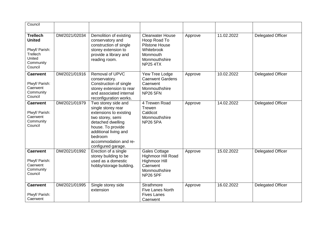| Council                                                                                          |               |                                                                                                                                                                                                                      |                                                                                                                                |         |            |                          |
|--------------------------------------------------------------------------------------------------|---------------|----------------------------------------------------------------------------------------------------------------------------------------------------------------------------------------------------------------------|--------------------------------------------------------------------------------------------------------------------------------|---------|------------|--------------------------|
| <b>Trellech</b><br><b>United</b><br>Plwyf/ Parish:<br>Trellech<br>United<br>Community<br>Council | DM/2021/02034 | Demolition of existing<br>conservatory and<br>construction of single<br>storey extension to<br>provide a library and<br>reading room.                                                                                | <b>Clearwater House</b><br>Hoop Road To<br><b>Pilstone House</b><br>Whitebrook<br>Monmouth<br>Monmouthshire<br><b>NP25 4TX</b> | Approve | 11.02.2022 | <b>Delegated Officer</b> |
| <b>Caerwent</b><br>Plwyf/ Parish:<br>Caerwent<br>Community<br>Council                            | DM/2021/01916 | Removal of UPVC<br>conservatory.<br>Construction of single<br>storey extension to rear<br>and associated internal<br>reconfiguration works.                                                                          | Yew Tree Lodge<br><b>Caerwent Gardens</b><br>Caerwent<br>Monmouthshire<br><b>NP26 5FN</b>                                      | Approve | 10.02.2022 | <b>Delegated Officer</b> |
| <b>Caerwent</b><br>Plwyf/ Parish:<br>Caerwent<br>Community<br>Council                            | DM/2021/01979 | Two storey side and<br>single storey rear<br>extensions to existing<br>two storey, semi<br>detached dwelling<br>house. To provide<br>additional living and<br>bedroom<br>accommodation and re-<br>configured garage. | 4 Trewen Road<br>Trewen<br>Caldicot<br>Monmouthshire<br><b>NP26 5PA</b>                                                        | Approve | 14.02.2022 | <b>Delegated Officer</b> |
| <b>Caerwent</b><br>Plwyf/ Parish:<br>Caerwent<br>Community<br>Council                            | DM/2021/01992 | Erection of a single<br>storey building to be<br>used as a domestic<br>hobby/storage building.                                                                                                                       | Gales Cottage<br>Highmoor Hill Road<br><b>Highmoor Hill</b><br>Caerwent<br>Monmouthshire<br><b>NP26 5PF</b>                    | Approve | 15.02.2022 | <b>Delegated Officer</b> |
| <b>Caerwent</b><br>Plwyf/ Parish:<br>Caerwent                                                    | DM/2021/01995 | Single storey side<br>extension                                                                                                                                                                                      | <b>Strathmore</b><br><b>Five Lanes North</b><br><b>Fives Lanes</b><br>Caerwent                                                 | Approve | 16.02.2022 | <b>Delegated Officer</b> |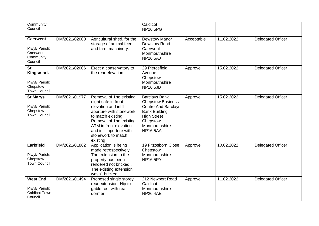| Community<br>Council                                                        |               |                                                                                                                                                                                                                                           | Caldicot<br><b>NP26 5PG</b>                                                                                                                                                  |            |            |                          |
|-----------------------------------------------------------------------------|---------------|-------------------------------------------------------------------------------------------------------------------------------------------------------------------------------------------------------------------------------------------|------------------------------------------------------------------------------------------------------------------------------------------------------------------------------|------------|------------|--------------------------|
| <b>Caerwent</b><br>Plwyf/ Parish:<br>Caerwent<br>Community<br>Council       | DM/2021/02000 | Agricultural shed, for the<br>storage of animal feed<br>and farm machinery.                                                                                                                                                               | <b>Dewstow Manor</b><br><b>Dewstow Road</b><br>Caerwent<br>Monmouthshire<br><b>NP26 5AJ</b>                                                                                  | Acceptable | 11.02.2022 | <b>Delegated Officer</b> |
| <b>St</b><br>Kingsmark<br>Plwyf/ Parish:<br>Chepstow<br><b>Town Council</b> | DM/2021/02006 | Erect a conservatory to<br>the rear elevation.                                                                                                                                                                                            | 29 Piercefield<br>Avenue<br>Chepstow<br>Monmouthshire<br><b>NP16 5JB</b>                                                                                                     | Approve    | 15.02.2022 | <b>Delegated Officer</b> |
| <b>St Marys</b><br>Plwyf/ Parish:<br>Chepstow<br><b>Town Council</b>        | DM/2021/01977 | Removal of 1no existing<br>night safe in front<br>elevation and infill<br>aperture with stonework<br>to match existing<br>Removal of 1no existing<br>ATM in front elevation<br>and infill aperture with<br>stonework to match<br>existing | <b>Barclays Bank</b><br><b>Chepstow Business</b><br><b>Centre And Barclays</b><br><b>Bank Building</b><br><b>High Street</b><br>Chepstow<br>Monmouthshire<br><b>NP16 5AA</b> | Approve    | 15.02.2022 | <b>Delegated Officer</b> |
| Larkfield<br>Plwyf/ Parish:<br>Chepstow<br><b>Town Council</b>              | DM/2021/01862 | Application is being<br>made retrospectively,<br>The extension to the<br>property has been<br>rendered not bricked.<br>The existing extension<br>wasn't bricked.                                                                          | 19 Fitzosborn Close<br>Chepstow<br>Monmouthshire<br><b>NP16 5PY</b>                                                                                                          | Approve    | 10.02.2022 | <b>Delegated Officer</b> |
| <b>West End</b><br>Plwyf/ Parish:<br><b>Caldicot Town</b><br>Council        | DM/2021/01494 | Proposed single storey<br>rear extension. Hip to<br>gable roof with rear<br>dormer.                                                                                                                                                       | 212 Newport Road<br>Caldicot<br>Monmouthshire<br><b>NP26 4AE</b>                                                                                                             | Approve    | 11.02.2022 | <b>Delegated Officer</b> |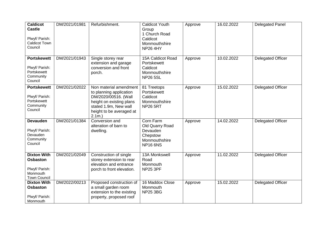| <b>Caldicot</b><br><b>Castle</b><br>Plwyf/ Parish:<br><b>Caldicot Town</b><br>Council      | DM/2021/01981 | Refurbishment.                                                                                                                                                          | <b>Caldicot Youth</b><br>Group<br>1 Church Road<br>Caldicot<br>Monmouthshire<br><b>NP26 4HY</b> | Approve | 16.02.2022 | <b>Delegated Panel</b>   |
|--------------------------------------------------------------------------------------------|---------------|-------------------------------------------------------------------------------------------------------------------------------------------------------------------------|-------------------------------------------------------------------------------------------------|---------|------------|--------------------------|
| <b>Portskewett</b><br>Plwyf/ Parish:<br>Portskewett<br>Community<br>Council                | DM/2021/01943 | Single storey rear<br>extension and garage<br>conversion and front<br>porch.                                                                                            | 15A Caldicot Road<br>Portskewett<br>Caldicot<br>Monmouthshire<br><b>NP26 5SL</b>                | Approve | 10.02.2022 | <b>Delegated Officer</b> |
| <b>Portskewett</b><br>Plwyf/ Parish:<br>Portskewett<br>Community<br>Council                | DM/2021/02022 | Non material amendment<br>to planning application<br>DM/2020/00516. (Wall<br>height on existing plans<br>stated 1.9m, New wall<br>height to be averaged at<br>$2.1m.$ ) | 81 Treetops<br>Portskewett<br>Caldicot<br>Monmouthshire<br><b>NP26 5RT</b>                      | Approve | 15.02.2022 | Delegated Officer        |
| <b>Devauden</b><br>Plwyf/ Parish:<br>Devauden<br>Community<br>Council                      | DM/2021/01384 | Conversion and<br>alteration of barn to<br>dwelling.                                                                                                                    | Corn Farm<br>Old Quarry Road<br>Devauden<br>Chepstow<br>Monmouthshire<br><b>NP16 6NS</b>        | Approve | 14.02.2022 | <b>Delegated Officer</b> |
| <b>Dixton With</b><br><b>Osbaston</b><br>Plwyf/ Parish:<br>Monmouth<br><b>Town Council</b> | DM/2021/02049 | Construction of single<br>storey extension to rear<br>elevation and entrance<br>porch to front elevation.                                                               | 13A Monkswell<br>Road<br>Monmouth<br><b>NP25 3PF</b>                                            | Approve | 11.02.2022 | <b>Delegated Officer</b> |
| <b>Dixton With</b><br><b>Osbaston</b><br>Plwyf/ Parish:<br>Monmouth                        | DM/2022/00213 | Proposed construction of<br>a small garden room<br>extension to the existing<br>property, proposed roof                                                                 | 16 Maddox Close<br>Monmouth<br><b>NP25 3BG</b>                                                  | Approve | 15.02.2022 | <b>Delegated Officer</b> |